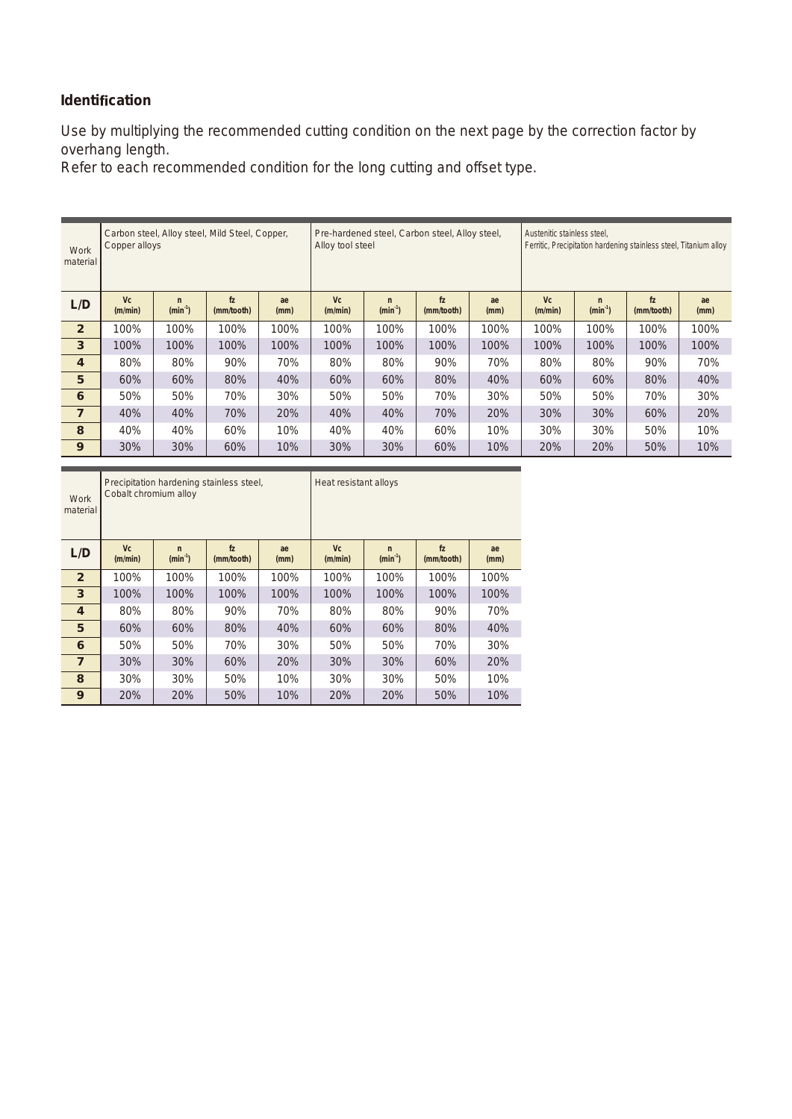## **Identification**

Use by multiplying the recommended cutting condition on the next page by the correction factor by overhang length.

Refer to each recommended condition for the long cutting and offset type.

| Work<br>material        | Copper alloys        |                                                                         | Carbon steel, Alloy steel, Mild Steel, Copper, |      | Alloy tool steel |                                                                                                 | Pre-hardened steel, Carbon steel, Alloy steel, |      | Austenitic stainless steel,<br>Ferritic, Precipitation hardening stainless steel, Titanium alloy |                           |                              |            |
|-------------------------|----------------------|-------------------------------------------------------------------------|------------------------------------------------|------|------------------|-------------------------------------------------------------------------------------------------|------------------------------------------------|------|--------------------------------------------------------------------------------------------------|---------------------------|------------------------------|------------|
| L/D                     | <b>Vc</b><br>(m/min) | f <sub>Z</sub><br>ae<br>$\mathsf{n}$<br>$(min-1)$<br>(mm/tooth)<br>(mm) |                                                |      |                  | <b>Vc</b><br>f <sub>Z</sub><br>ae<br>$\mathsf{n}$<br>$(min-1)$<br>(m/min)<br>(mm)<br>(mm/tooth) |                                                |      | <b>Vc</b><br>(m/min)                                                                             | $\mathsf{n}$<br>$(min-1)$ | f <sub>Z</sub><br>(mm/tooth) | ae<br>(mm) |
| $\overline{2}$          | 100%                 | 100%                                                                    | 100%                                           | 100% | 100%             | 100%                                                                                            | 100%                                           | 100% | 100%                                                                                             | 100%                      | 100%                         | 100%       |
| $\overline{3}$          | 100%                 | 100%                                                                    | 100%                                           | 100% | 100%             | 100%                                                                                            | 100%                                           | 100% | 100%                                                                                             | 100%                      | 100%                         | 100%       |
| $\overline{\mathbf{4}}$ | 80%                  | 80%                                                                     | 90%                                            | 70%  | 80%              | 80%                                                                                             | 90%                                            | 70%  | 80%                                                                                              | 80%                       | 90%                          | 70%        |
| 5                       | 60%                  | 60%                                                                     | 80%                                            | 40%  | 60%              | 60%                                                                                             | 80%                                            | 40%  | 60%                                                                                              | 60%                       | 80%                          | 40%        |
| 6                       | 50%                  | 50%                                                                     | 70%                                            | 30%  | 50%              | 50%                                                                                             | 70%                                            | 30%  | 50%                                                                                              | 50%                       | 70%                          | 30%        |
| $\overline{7}$          | 40%                  | 40%                                                                     | 70%                                            | 20%  | 40%              | 40%                                                                                             | 70%                                            | 20%  | 30%                                                                                              | 30%                       | 60%                          | 20%        |
| 8                       | 40%                  | 40%                                                                     | 60%                                            | 10%  | 40%              | 40%                                                                                             | 60%                                            | 10%  | 30%                                                                                              | 30%                       | 50%                          | 10%        |
| 9                       | 30%                  | 30%                                                                     | 60%                                            | 10%  | 30%              | 30%                                                                                             | 60%                                            | 10%  | 20%                                                                                              | 20%                       | 50%                          | 10%        |

| <b>Work</b><br>material | Cobalt chromium alloy | Precipitation hardening stainless steel, |                              |            | Heat resistant alloys |                           |                              |            |  |  |
|-------------------------|-----------------------|------------------------------------------|------------------------------|------------|-----------------------|---------------------------|------------------------------|------------|--|--|
| L/D                     | <b>Vc</b><br>(m/min)  | $\mathsf{n}$<br>$(min-1)$                | f <sub>Z</sub><br>(mm/tooth) | ae<br>(mm) | <b>Vc</b><br>(m/min)  | $\mathsf{n}$<br>$(min-1)$ | f <sub>Z</sub><br>(mm/tooth) | ae<br>(mm) |  |  |
| $\overline{2}$          | 100%                  | 100%                                     | 100%                         | 100%       | 100%                  | 100%                      | 100%                         | 100%       |  |  |
| $\overline{\mathbf{3}}$ | 100%                  | 100%                                     | 100%                         | 100%       | 100%                  | 100%                      | 100%                         | 100%       |  |  |
| $\overline{4}$          | 80%                   | 80%                                      | 90%                          | 70%        | 80%                   | 80%                       | 90%                          | 70%        |  |  |
| 5                       | 60%                   | 60%                                      | 80%                          | 40%        | 60%                   | 60%                       | 80%                          | 40%        |  |  |
| 6                       | 50%                   | 50%                                      | 70%                          | 30%        | 50%                   | 50%                       | 70%                          | 30%        |  |  |
| $\overline{7}$          | 30%                   | 30%                                      | 60%                          | 20%        | 30%                   | 30%                       | 60%                          | 20%        |  |  |
| 8                       | 30%                   | 30%                                      | 50%                          | 10%        | 30%                   | 30%                       | 50%                          | 10%        |  |  |
| 9                       | <b>20%</b>            | 20%                                      | 50%                          | 10%        | <b>20%</b>            | 20%                       | 50%                          | 10%        |  |  |